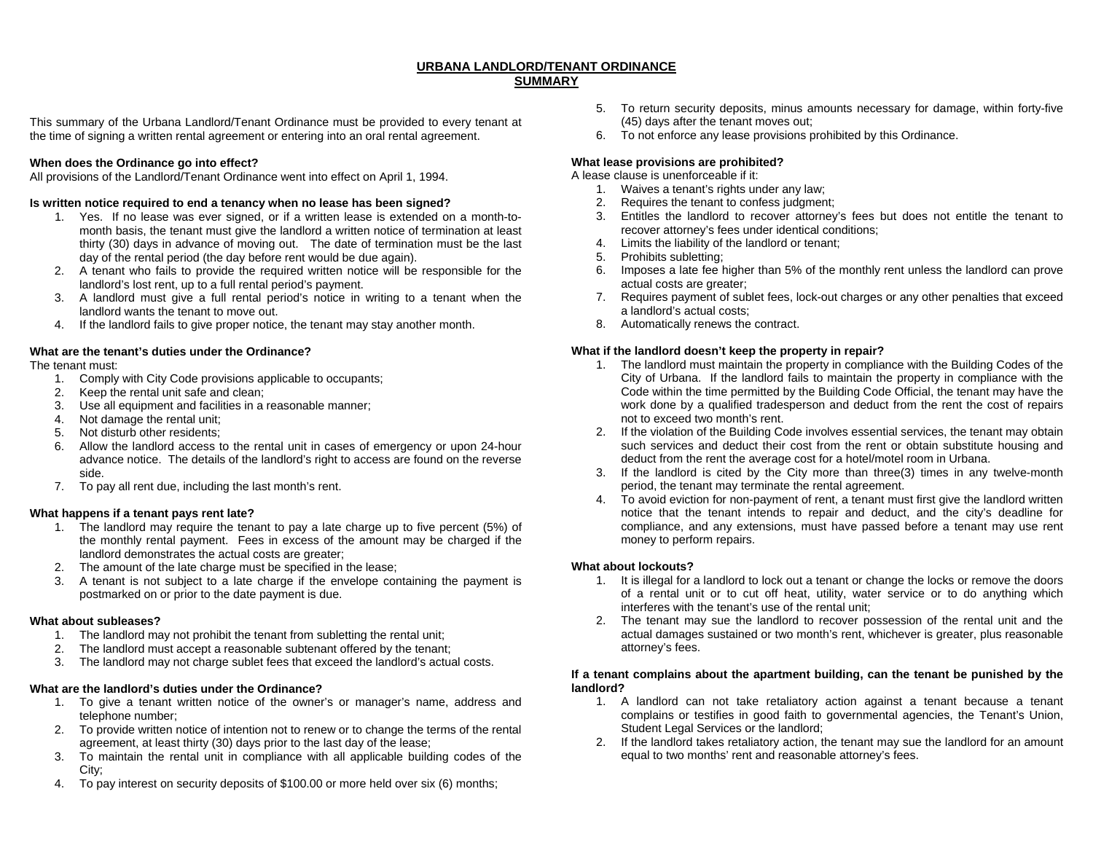## **URBANA LANDLORD/TENANT ORDINANCE SUMMARY**

This summary of the Urbana Landlord/Tenant Ordinance must be provided to every tenant at the time of signing a written rental agreement or entering into an oral rental agreement.

# **When does the Ordinance go into effect?**

All provisions of the Landlord/Tenant Ordinance went into effect on April 1, 1994.

### **Is written notice required to end a tenancy when no lease has been signed?**

- 1. Yes. If no lease was ever signed, or if a written lease is extended on a month-tomonth basis, the tenant must give the landlord a written notice of termination at least thirty (30) days in advance of moving out. The date of termination must be the last day of the rental period (the day before rent would be due again).
- 2. A tenant who fails to provide the required written notice will be responsible for the landlord's lost rent, up to a full rental period's payment.
- 3. A landlord must give a full rental period's notice in writing to a tenant when the landlord wants the tenant to move out.
- 4. If the landlord fails to give proper notice, the tenant may stay another month.

# **What are the tenant's duties under the Ordinance?**

The tenant must:

- 1. Comply with City Code provisions applicable to occupants;
- 2. Keep the rental unit safe and clean;
- 3. Use all equipment and facilities in a reasonable manner;
- 4. Not damage the rental unit;
- 5. Not disturb other residents;
- 6. Allow the landlord access to the rental unit in cases of emergency or upon 24-hour advance notice. The details of the landlord's right to access are found on the reverse side.
- 7. To pay all rent due, including the last month's rent.

# **What happens if a tenant pays rent late?**

- 1. The landlord may require the tenant to pay a late charge up to five percent (5%) of the monthly rental payment. Fees in excess of the amount may be charged if the landlord demonstrates the actual costs are greater;
- 2. The amount of the late charge must be specified in the lease;
- 3. A tenant is not subject to a late charge if the envelope containing the payment is postmarked on or prior to the date payment is due.

# **What about subleases?**

- 1. The landlord may not prohibit the tenant from subletting the rental unit;
- 2. The landlord must accept a reasonable subtenant offered by the tenant;
- 3. The landlord may not charge sublet fees that exceed the landlord's actual costs.

# **What are the landlord's duties under the Ordinance?**

- 1. To give a tenant written notice of the owner's or manager's name, address and telephone number;
- 2. To provide written notice of intention not to renew or to change the terms of the rental agreement, at least thirty (30) days prior to the last day of the lease;
- 3. To maintain the rental unit in compliance with all applicable building codes of the City;
- 4. To pay interest on security deposits of \$100.00 or more held over six (6) months;
- 5. To return security deposits, minus amounts necessary for damage, within forty-five (45) days after the tenant moves out;
- 6. To not enforce any lease provisions prohibited by this Ordinance.

# **What lease provisions are prohibited?**

A lease clause is unenforceable if it:

- 1. Waives a tenant's rights under any law;
- 2. Requires the tenant to confess judgment;
- 3. Entitles the landlord to recover attorney's fees but does not entitle the tenant to recover attorney's fees under identical conditions;
- 4. Limits the liability of the landlord or tenant;
- 5. Prohibits subletting;
- 6. Imposes a late fee higher than 5% of the monthly rent unless the landlord can prove actual costs are greater:
- 7. Requires payment of sublet fees, lock-out charges or any other penalties that exceed a landlord's actual costs;
- 8. Automatically renews the contract.

### **What if the landlord doesn't keep the property in repair?**

- 1. The landlord must maintain the property in compliance with the Building Codes of the City of Urbana. If the landlord fails to maintain the property in compliance with the Code within the time permitted by the Building Code Official, the tenant may have the work done by a qualified tradesperson and deduct from the rent the cost of repairs not to exceed two month's rent.
- 2. If the violation of the Building Code involves essential services, the tenant may obtain such services and deduct their cost from the rent or obtain substitute housing and deduct from the rent the average cost for a hotel/motel room in Urbana.
- 3. If the landlord is cited by the City more than three(3) times in any twelve-month period, the tenant may terminate the rental agreement.
- 4. To avoid eviction for non-payment of rent, a tenant must first give the landlord written notice that the tenant intends to repair and deduct, and the city's deadline for compliance, and any extensions, must have passed before a tenant may use rent money to perform repairs.

# **What about lockouts?**

- 1. It is illegal for a landlord to lock out a tenant or change the locks or remove the doors of a rental unit or to cut off heat, utility, water service or to do anything which interferes with the tenant's use of the rental unit;
- 2. The tenant may sue the landlord to recover possession of the rental unit and the actual damages sustained or two month's rent, whichever is greater, plus reasonable attorney's fees.

### **If a tenant complains about the apartment building, can the tenant be punished by the landlord?**

- 1. A landlord can not take retaliatory action against a tenant because a tenant complains or testifies in good faith to governmental agencies, the Tenant's Union, Student Legal Services or the landlord;
- 2. If the landlord takes retaliatory action, the tenant may sue the landlord for an amount equal to two months' rent and reasonable attorney's fees.